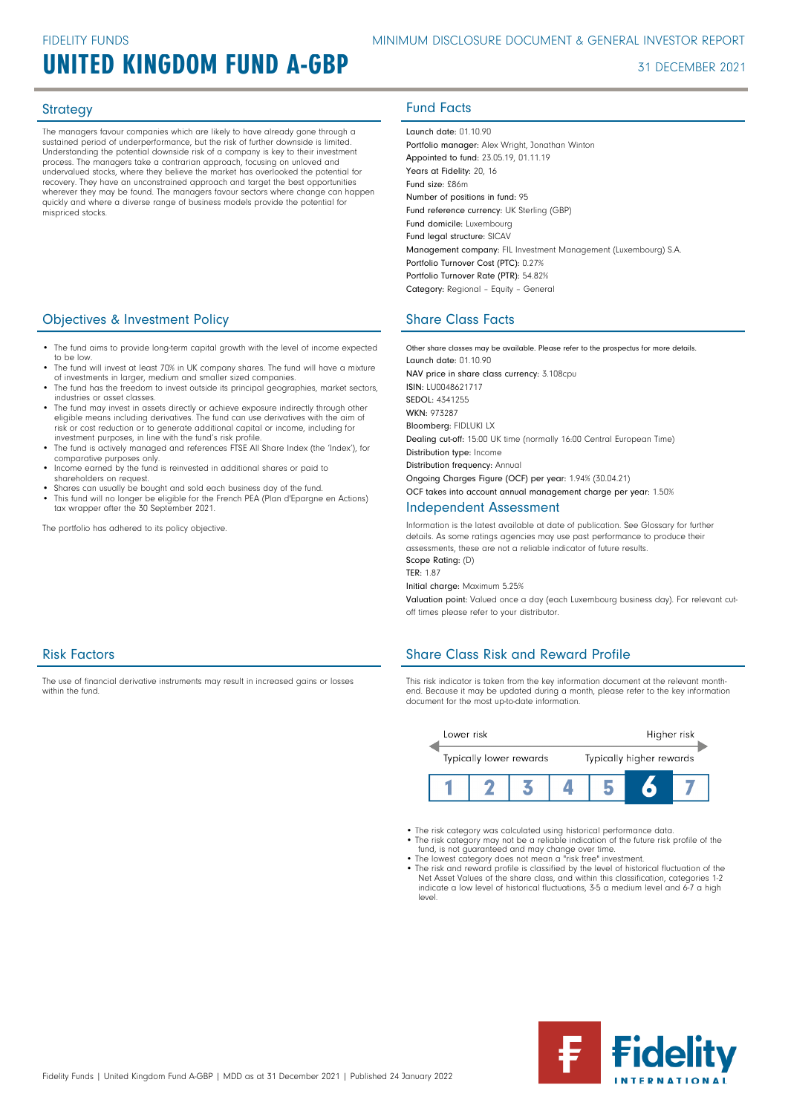# UNITED KINGDOM FUND A-GBP 31 DECEMBER 2021

The managers favour companies which are likely to have already gone through a sustained period of underperformance, but the risk of further downside is limited. Understanding the potential downside risk of a company is key to their investment process. The managers take a contrarian approach, focusing on unloved and undervalued stocks, where they believe the market has overlooked the potential for recovery. They have an unconstrained approach and target the best opportunities wherever they may be found. The managers favour sectors where change can happen quickly and where a diverse range of business models provide the potential for mispriced stocks.

### **Objectives & Investment Policy Share Class Facts** Share Class Facts

- The fund aims to provide long-term capital growth with the level of income expected to be low.
- The fund will invest at least 70% in UK company shares. The fund will have a mixture of investments in larger, medium and smaller sized companies.
- The fund has the freedom to invest outside its principal geographies, market sectors, industries or asset classes.
- The fund may invest in assets directly or achieve exposure indirectly through other eligible means including derivatives. The fund can use derivatives with the aim of risk or cost reduction or to generate additional capital or income, including for investment purposes, in line with the fund's risk profile.
- The fund is actively managed and references FTSE All Share Index (the 'Index'), for comparative purposes only.
- Income earned by the fund is reinvested in additional shares or paid to shareholders on request.
- Shares can usually be bought and sold each business day of the fund. • This fund will no longer be eligible for the French PEA (Plan d'Epargne en Actions) tax wrapper after the 30 September 2021.

The portfolio has adhered to its policy objective.

# Strategy **Fund Facts**

Launch date: 01.10.90 Portfolio manager: Alex Wright, Jonathan Winton Appointed to fund: 23.05.19, 01.11.19 Years at Fidelity: 20, 16 Fund size: £86m Number of positions in fund: 95 Fund reference currency: UK Sterling (GBP) Fund domicile: Luxembourg Fund legal structure: SICAV Management company: FIL Investment Management (Luxembourg) S.A. Portfolio Turnover Cost (PTC): 0.27% Portfolio Turnover Rate (PTR): 54.82% Category: Regional – Equity – General

Other share classes may be available. Please refer to the prospectus for more details. Launch date: 01.10.90 NAV price in share class currency: 3.108cpu ISIN: LU0048621717 SEDOL: 4341255 WKN- 973287 Bloomberg: FIDLUKI LX Dealing cut-off: 15:00 UK time (normally 16:00 Central European Time) Distribution type: Income Distribution frequency: Annual Ongoing Charges Figure (OCF) per year: 1.94% (30.04.21) OCF takes into account annual management charge per year: 1.50%

## Independent Assessment

Information is the latest available at date of publication. See Glossary for further details. As some ratings agencies may use past performance to produce their assessments, these are not a reliable indicator of future results. Scope Rating: (D)

TER: 1.87

Initial charge: Maximum 5.25%

Valuation point: Valued once a day (each Luxembourg business day). For relevant cutoff times please refer to your distributor.

## Risk Factors

The use of financial derivative instruments may result in increased gains or losses within the fund

## Share Class Risk and Reward Profile

This risk indicator is taken from the key information document at the relevant monthend. Because it may be updated during a month, please refer to the key information document for the most up-to-date information.



- The risk category was calculated using historical performance data.
- The risk category may not be a reliable indication of the future risk profile of the fund, is not guaranteed and may change over time. The lowest category does not mean a "risk free" investment.
- 
- The risk and reward profile is classified by the level of historical fluctuation of the Net Asset Values of the share class, and within this classification, categories 1-2 indicate a low level of historical fluctuations, 3-5 a medium level and 6-7 a high level.

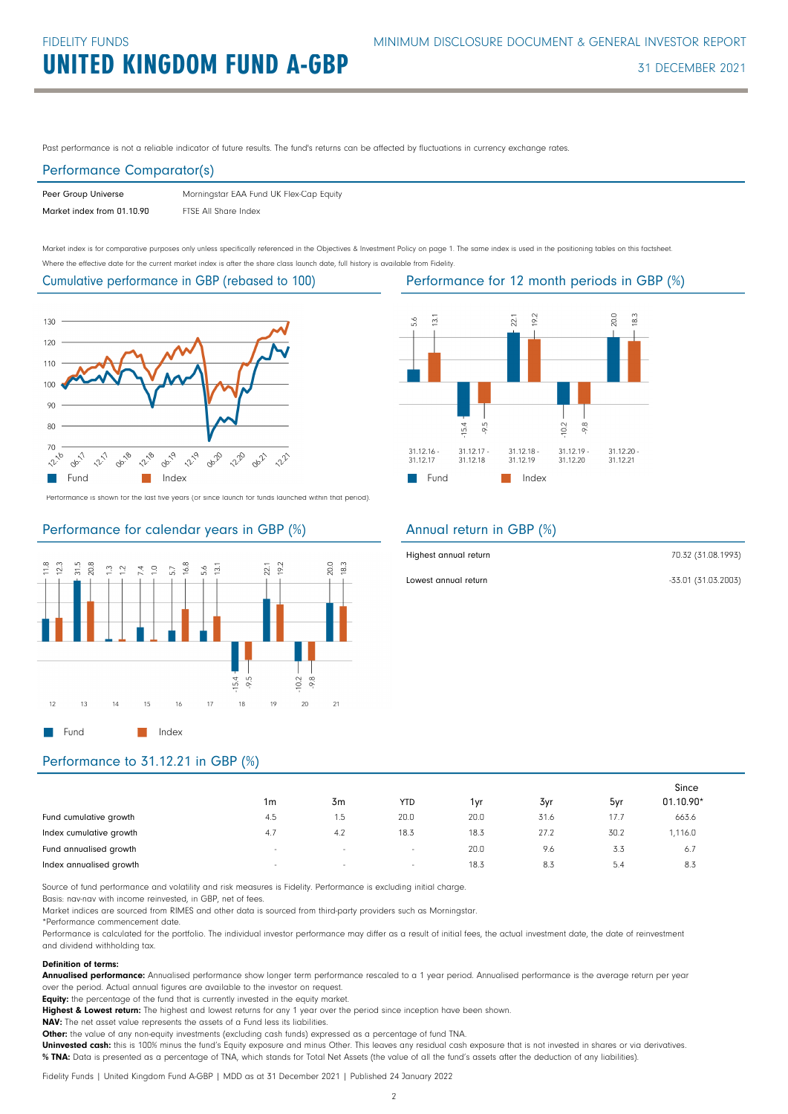Past performance is not a reliable indicator of future results. The fund's returns can be affected by fluctuations in currency exchange rates.

### Performance Comparator(s)

| Peer Group Universe        | Morningstar EAA Fund UK Flex-Cap Equity |
|----------------------------|-----------------------------------------|
| Market index from 01.10.90 | FTSE All Share Index                    |

Market index is for comparative purposes only unless specifically referenced in the Objectives & Investment Policy on page 1. The same index is used in the positioning tables on this factsheet. Where the effective date for the current market index is after the share class launch date, full history is available from Fidelity.

Cumulative performance in GBP (rebased to 100)



Performance is shown for the last five years (or since launch for funds launched within that period).

### Performance for calendar years in GBP (%)





### Annual return in GBP (%)

| Highest annual return | 70.32 (31.08.1993)  |
|-----------------------|---------------------|
| Lowest annual return  | -33.01 (31.03.2003) |

# Performance to 31.12.21 in GBP (%)

|                         |        |        |                          |      |      |      | Since     |
|-------------------------|--------|--------|--------------------------|------|------|------|-----------|
|                         | 1m     | 3m     | <b>YTD</b>               | 1vr  | 3yr  | 5yr  | 01.10.90* |
| Fund cumulative growth  | 4.5    | 1.5    | 20.0                     | 20.0 | 31.6 | 17.7 | 663.6     |
| Index cumulative growth | 4.7    | 4.2    | 18.3                     | 18.3 | 27.2 | 30.2 | 1,116.0   |
| Fund annualised growth  | $\sim$ | $\sim$ | $\overline{\phantom{a}}$ | 20.0 | 9.6  | 3.3  | 6.7       |
| Index annualised growth | $\sim$ | $\sim$ | $\sim$                   | 18.3 | 8.3  | 5.4  | 8.3       |

Source of fund performance and volatility and risk measures is Fidelity. Performance is excluding initial charge.

Basis: nav-nav with income reinvested, in GBP, net of fees.

Market indices are sourced from RIMES and other data is sourced from third-party providers such as Morningstar.

\*Performance commencement date.

Performance is calculated for the portfolio. The individual investor performance may differ as a result of initial fees, the actual investment date, the date of reinvestment and dividend withholding tax.

### Definition of terms:

Annualised performance: Annualised performance show longer term performance rescaled to a 1 year period. Annualised performance is the average return per year over the period. Actual annual figures are available to the investor on request.

Equity: the percentage of the fund that is currently invested in the equity market.

Highest & Lowest return: The highest and lowest returns for any 1 year over the period since inception have been shown.

NAV: The net asset value represents the assets of a Fund less its liabilities.

Other: the value of any non-equity investments (excluding cash funds) expressed as a percentage of fund TNA.

Uninvested cash: this is 100% minus the fund's Equity exposure and minus Other. This leaves any residual cash exposure that is not invested in shares or via derivatives. % TNA: Data is presented as a percentage of TNA, which stands for Total Net Assets (the value of all the fund's assets after the deduction of any liabilities).

Fidelity Funds | United Kingdom Fund A-GBP | MDD as at 31 December 2021 | Published 24 January 2022

Performance for 12 month periods in GBP (%)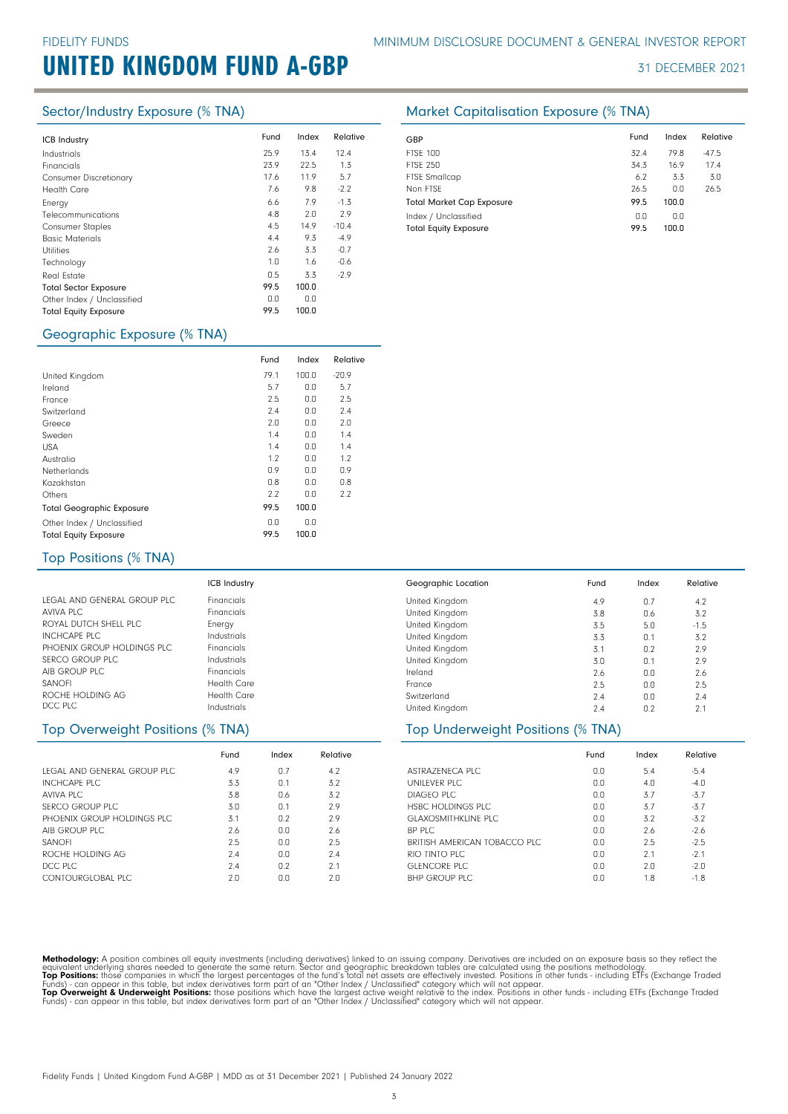# UNITED KINGDOM FUND A-GBP 31 DECEMBER 2021

| <b>ICB Industry</b>           | Fund | Index | Relative | GBP         |
|-------------------------------|------|-------|----------|-------------|
| Industrials                   | 25.9 | 13.4  | 12.4     | <b>FTSE</b> |
| Financials                    | 23.9 | 22.5  | 1.3      | <b>FTSE</b> |
| <b>Consumer Discretionary</b> | 17.6 | 11.9  | 5.7      | <b>FTSE</b> |
| <b>Health Care</b>            | 7.6  | 9.8   | $-2.2$   | Non         |
| Energy                        | 6.6  | 7.9   | $-1.3$   | Tota        |
| Telecommunications            | 4.8  | 2.0   | 2.9      | Inde        |
| <b>Consumer Staples</b>       | 4.5  | 14.9  | $-10.4$  | Tota        |
| <b>Basic Materials</b>        | 4.4  | 9.3   | $-4.9$   |             |
| <b>Utilities</b>              | 2.6  | 3.3   | $-0.7$   |             |
| Technology                    | 1.0  | 1.6   | $-0.6$   |             |
| Real Estate                   | 0.5  | 3.3   | $-2.9$   |             |
| <b>Total Sector Exposure</b>  | 99.5 | 100.0 |          |             |
| Other Index / Unclassified    | 0.0  | 0.0   |          |             |
| <b>Total Equity Exposure</b>  | 99.5 | 100.0 |          |             |
|                               |      |       |          |             |

### Geographic Exposure (% TNA)

|                                  | Fund | Index | Relative |
|----------------------------------|------|-------|----------|
| United Kingdom                   | 79.1 | 100.0 | $-20.9$  |
| Ireland                          | 5.7  | 0.0   | 5.7      |
| France                           | 2.5  | 0.0   | 2.5      |
| Switzerland                      | 2.4  | 0.0   | 2.4      |
| Greece                           | 2.0  | 0.0   | 2.0      |
| Sweden                           | 1.4  | 0.0   | 1.4      |
| <b>USA</b>                       | 1.4  | 0.0   | 1.4      |
| Australia                        | 1.2  | 0.0   | 1.2      |
| Netherlands                      | 0.9  | 0.0   | 0.9      |
| Kazakhstan                       | 0.8  | 0.0   | 0.8      |
| Others                           | 2.2  | 0.0   | 2.2      |
| <b>Total Geographic Exposure</b> | 99.5 | 100.0 |          |
| Other Index / Unclassified       | 0.0  | 0.0   |          |
| <b>Total Equity Exposure</b>     | 99.5 | 100.0 |          |

### Sector/Industry Exposure (% TNA) Market Capitalisation Exposure (% TNA)

| GBP                              | Fund | Index | Relative |
|----------------------------------|------|-------|----------|
| <b>FTSE 100</b>                  | 32.4 | 79.8  | $-47.5$  |
| <b>FTSE 250</b>                  | 34.3 | 16.9  | 17.4     |
| <b>FTSE Smallcap</b>             | 6.2  | 3.3   | 3.0      |
| Non FTSE                         | 26.5 | 0.0   | 26.5     |
| <b>Total Market Cap Exposure</b> | 99.5 | 100.0 |          |
| Index / Unclassified             | 0.0  | 0.0   |          |
| <b>Total Equity Exposure</b>     | 99.5 | 100.0 |          |

| Top Positions (% TNA) |  |
|-----------------------|--|
|-----------------------|--|

|                             | <b>ICB Industry</b> | Geographic Location | Fund | Index | Relative |
|-----------------------------|---------------------|---------------------|------|-------|----------|
| LEGAL AND GENERAL GROUP PLC | <b>Financials</b>   | United Kingdom      | 4.9  | 0.7   | 4.2      |
| AVIVA PLC                   | <b>Financials</b>   | United Kingdom      | 3.8  | 0.6   | 3.2      |
| ROYAL DUTCH SHELL PLC       | Energy              | United Kingdom      | 3.5  | 5.0   | $-1.5$   |
| <b>INCHCAPE PLC</b>         | Industrials         | United Kingdom      | 3.3  | 0.1   | 3.2      |
| PHOENIX GROUP HOLDINGS PLC  | <b>Financials</b>   | United Kingdom      | 3.1  | 0.2   | 2.9      |
| <b>SERCO GROUP PLC</b>      | Industrials         | United Kingdom      | 3.0  | 0.1   | 2.9      |
| AIB GROUP PLC               | <b>Financials</b>   | Ireland             | 2.6  | 0.0   | 2.6      |
| SANOFI                      | <b>Health Care</b>  | France              | 2.5  | 0.0   | 2.5      |
| ROCHE HOLDING AG            | <b>Health Care</b>  | Switzerland         | 2.4  | 0.0   | 2.4      |
| DCC PLC                     | Industrials         | United Kingdom      | 2.4  | 0.2   | 2.1      |

### Top Overweight Positions (% TNA)

|                              | Fund | Index | Relative |
|------------------------------|------|-------|----------|
| LEGAL AND GENERAL GROUP PLC. | 4.9  | 0.7   | 4.2      |
| <b>INCHCAPE PLC</b>          | 3.3  | 0.1   | 3.2      |
| AVIVA PLC                    | 3.8  | 0.6   | 3.2      |
| SERCO GROUP PLC              | 3.0  | 0.1   | 2.9      |
| PHOFNIX GROUP HOLDINGS PLC.  | 3.1  | 0.2   | 2.9      |
| AIB GROUP PLC                | 2.6  | 0.0   | 2.6      |
| <b>SANOFI</b>                | 2.5  | 0.0   | 2.5      |
| ROCHE HOLDING AG             | 24   | 0.0   | 7.4      |
| DCC PLC                      | 7.4  | 0.2   | 2.1      |
| CONTOURGLOBAL PLC            | 2n   | n n   | 2.0      |

| United Kingdom                    | 3.3  | 0.1   | 3.2      |
|-----------------------------------|------|-------|----------|
| United Kingdom                    | 3.1  | 0.2   | 2.9      |
| United Kingdom                    | 3.0  | 0.1   | 2.9      |
| Ireland                           | 2.6  | 0.0   | 2.6      |
| France                            | 2.5  | 0.0   | 2.5      |
| Switzerland                       | 2.4  | 0.0   | 2.4      |
| United Kingdom                    | 7.4  | 0.2   | 2.1      |
| Top Underweight Positions (% TNA) |      |       |          |
|                                   | Fund | Index | Relative |
| ASTRAZENECA PLC                   | 0.0  | 5.4   | $-5.4$   |
| UNILEVER PLC                      | 0.0  | 4.0   | $-4.0$   |

| UNILFVER PLC                 | 0.0 | 4.0 | -4.0   |
|------------------------------|-----|-----|--------|
| DIAGFO PLC                   | 0.0 | 3.7 | $-3.7$ |
| HSBC HOLDINGS PLC            | 0.0 | 3.7 | $-3.7$ |
| <b>GLAXOSMITHKLINE PLC</b>   | 0.0 | 3.2 | $-3.2$ |
| BP PLC                       | 0.0 | 2.6 | $-2.6$ |
| BRITISH AMERICAN TOBACCO PLC | 0.0 | 2.5 | $-2.5$ |
| RIO TINTO PLC                | 0.0 | 2.1 | $-2.1$ |
| GLENCORE PLC                 | 0.0 | 2.0 | $-2.0$ |
| BHP GROUP PLC                | nη  | 18  | $-1.8$ |

Methodology: A position combines all equity investments (including derivatives) linked to an issuing company. Derivatives are included on an exposure basis so they reflect the<br>equivalent underlying shares needed to generat